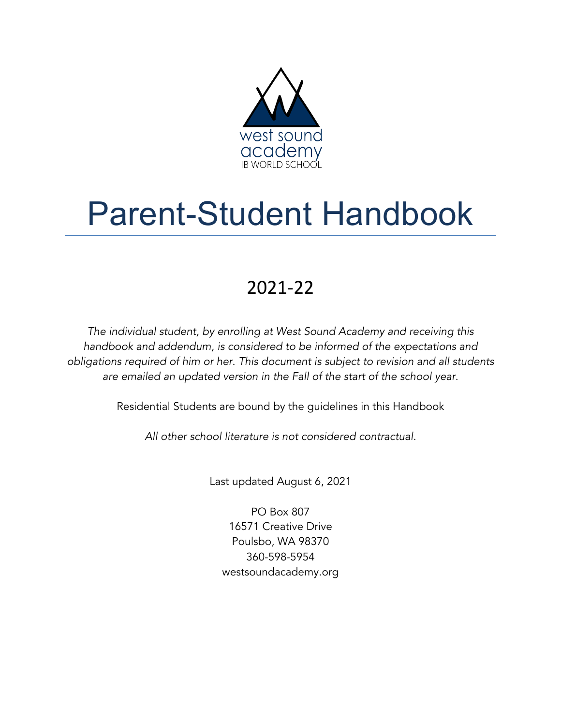

# Parent-Student Handbook

## 2021-22

*The individual student, by enrolling at West Sound Academy and receiving this handbook and addendum, is considered to be informed of the expectations and obligations required of him or her. This document is subject to revision and all students are emailed an updated version in the Fall of the start of the school year*.

Residential Students are bound by the guidelines in this Handbook

*All other school literature is not considered contractual.*

Last updated August 6, 2021

PO Box 807 16571 Creative Drive Poulsbo, WA 98370 360-598-5954 westsoundacademy.org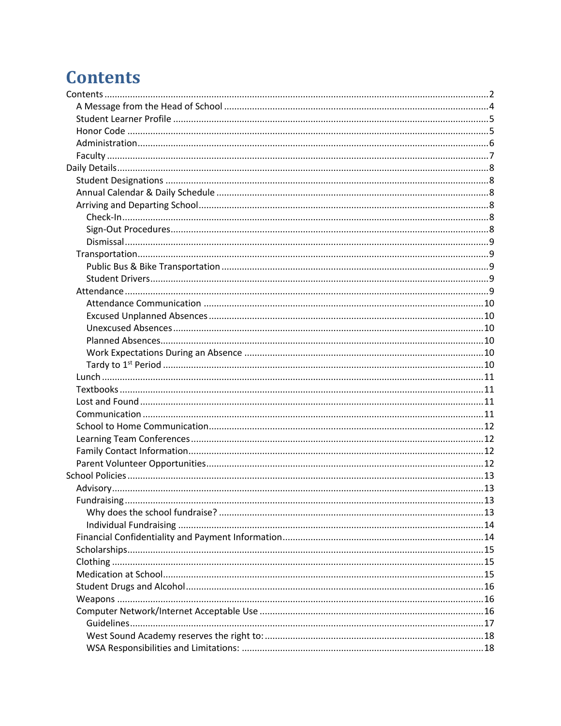## **Contents**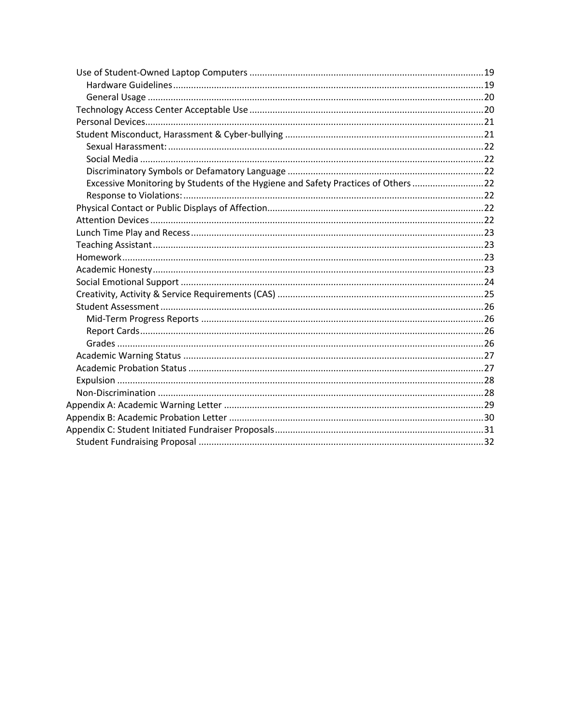| Excessive Monitoring by Students of the Hygiene and Safety Practices of Others 22 |  |
|-----------------------------------------------------------------------------------|--|
|                                                                                   |  |
|                                                                                   |  |
|                                                                                   |  |
|                                                                                   |  |
|                                                                                   |  |
|                                                                                   |  |
|                                                                                   |  |
|                                                                                   |  |
|                                                                                   |  |
|                                                                                   |  |
|                                                                                   |  |
|                                                                                   |  |
|                                                                                   |  |
|                                                                                   |  |
|                                                                                   |  |
|                                                                                   |  |
|                                                                                   |  |
|                                                                                   |  |
|                                                                                   |  |
|                                                                                   |  |
|                                                                                   |  |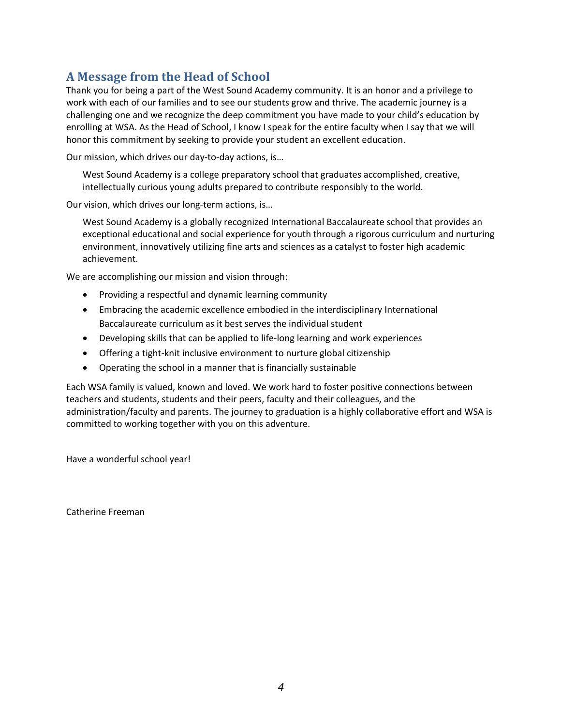## **A Message from the Head of School**

Thank you for being a part of the West Sound Academy community. It is an honor and a privilege to work with each of our families and to see our students grow and thrive. The academic journey is a challenging one and we recognize the deep commitment you have made to your child's education by enrolling at WSA. As the Head of School, I know I speak for the entire faculty when I say that we will honor this commitment by seeking to provide your student an excellent education.

Our mission, which drives our day-to-day actions, is…

West Sound Academy is a college preparatory school that graduates accomplished, creative, intellectually curious young adults prepared to contribute responsibly to the world.

Our vision, which drives our long-term actions, is…

West Sound Academy is a globally recognized International Baccalaureate school that provides an exceptional educational and social experience for youth through a rigorous curriculum and nurturing environment, innovatively utilizing fine arts and sciences as a catalyst to foster high academic achievement.

We are accomplishing our mission and vision through:

- Providing a respectful and dynamic learning community
- Embracing the academic excellence embodied in the interdisciplinary International Baccalaureate curriculum as it best serves the individual student
- Developing skills that can be applied to life-long learning and work experiences
- Offering a tight-knit inclusive environment to nurture global citizenship
- Operating the school in a manner that is financially sustainable

Each WSA family is valued, known and loved. We work hard to foster positive connections between teachers and students, students and their peers, faculty and their colleagues, and the administration/faculty and parents. The journey to graduation is a highly collaborative effort and WSA is committed to working together with you on this adventure.

Have a wonderful school year!

Catherine Freeman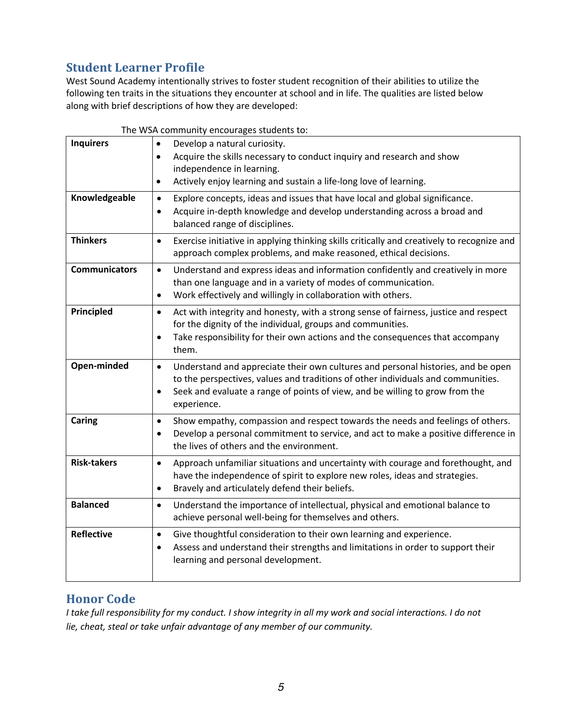## **Student Learner Profile**

West Sound Academy intentionally strives to foster student recognition of their abilities to utilize the following ten traits in the situations they encounter at school and in life. The qualities are listed below along with brief descriptions of how they are developed:

|                      | The WSA community encourages students to:                                                                                                                                                                                                                                                     |
|----------------------|-----------------------------------------------------------------------------------------------------------------------------------------------------------------------------------------------------------------------------------------------------------------------------------------------|
| <b>Inquirers</b>     | Develop a natural curiosity.<br>$\bullet$<br>Acquire the skills necessary to conduct inquiry and research and show<br>$\bullet$<br>independence in learning.<br>Actively enjoy learning and sustain a life-long love of learning.<br>٠                                                        |
| Knowledgeable        | Explore concepts, ideas and issues that have local and global significance.<br>$\bullet$<br>Acquire in-depth knowledge and develop understanding across a broad and<br>$\bullet$<br>balanced range of disciplines.                                                                            |
| <b>Thinkers</b>      | Exercise initiative in applying thinking skills critically and creatively to recognize and<br>$\bullet$<br>approach complex problems, and make reasoned, ethical decisions.                                                                                                                   |
| <b>Communicators</b> | Understand and express ideas and information confidently and creatively in more<br>$\bullet$<br>than one language and in a variety of modes of communication.<br>Work effectively and willingly in collaboration with others.<br>$\bullet$                                                    |
| Principled           | Act with integrity and honesty, with a strong sense of fairness, justice and respect<br>$\bullet$<br>for the dignity of the individual, groups and communities.<br>Take responsibility for their own actions and the consequences that accompany<br>$\bullet$<br>them.                        |
| Open-minded          | Understand and appreciate their own cultures and personal histories, and be open<br>$\bullet$<br>to the perspectives, values and traditions of other individuals and communities.<br>Seek and evaluate a range of points of view, and be willing to grow from the<br>$\bullet$<br>experience. |
| Caring               | Show empathy, compassion and respect towards the needs and feelings of others.<br>$\bullet$<br>Develop a personal commitment to service, and act to make a positive difference in<br>$\bullet$<br>the lives of others and the environment.                                                    |
| <b>Risk-takers</b>   | Approach unfamiliar situations and uncertainty with courage and forethought, and<br>$\bullet$<br>have the independence of spirit to explore new roles, ideas and strategies.<br>Bravely and articulately defend their beliefs.<br>$\bullet$                                                   |
| <b>Balanced</b>      | Understand the importance of intellectual, physical and emotional balance to<br>$\bullet$<br>achieve personal well-being for themselves and others.                                                                                                                                           |
| <b>Reflective</b>    | Give thoughtful consideration to their own learning and experience.<br>$\bullet$<br>Assess and understand their strengths and limitations in order to support their<br>$\bullet$<br>learning and personal development.                                                                        |

#### **Honor** Code

*I take full responsibility for my conduct. I show integrity in all my work and social interactions. I do not lie, cheat, steal or take unfair advantage of any member of our community.*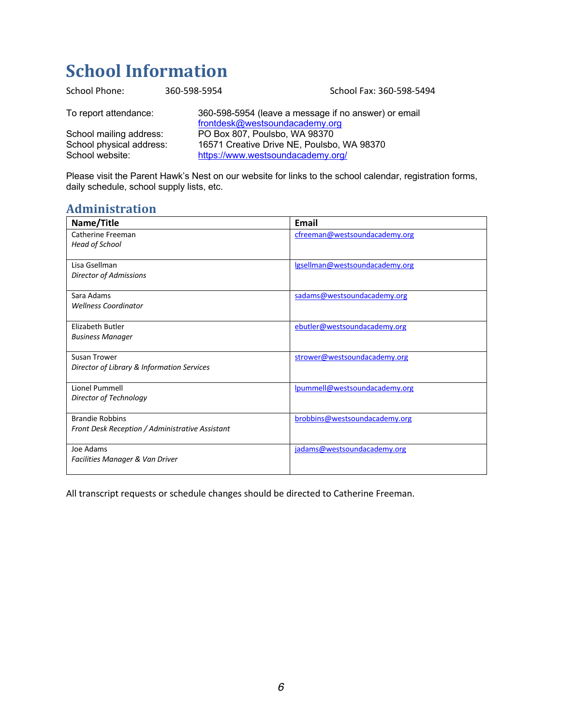## **School Information**

| School Phone:            | 360-598-5954                      | School Fax: 360-598-5494                             |
|--------------------------|-----------------------------------|------------------------------------------------------|
| To report attendance:    | frontdesk@westsoundacademy.org    | 360-598-5954 (leave a message if no answer) or email |
| School mailing address:  | PO Box 807, Poulsbo, WA 98370     |                                                      |
| School physical address: |                                   | 16571 Creative Drive NE, Poulsbo, WA 98370           |
| School website:          | https://www.westsoundacademy.org/ |                                                      |

Please visit the Parent Hawk's Nest on our website for links to the school calendar, registration forms, daily schedule, school supply lists, etc.

## **Administration**

| Name/Title                                                                | Email                          |
|---------------------------------------------------------------------------|--------------------------------|
| Catherine Freeman<br>Head of School                                       | cfreeman@westsoundacademy.org  |
| Lisa Gsellman<br>Director of Admissions                                   | Igsellman@westsoundacademy.org |
| Sara Adams<br><b>Wellness Coordinator</b>                                 | sadams@westsoundacademy.org    |
| Elizabeth Butler<br><b>Business Manager</b>                               | ebutler@westsoundacademy.org   |
| Susan Trower<br>Director of Library & Information Services                | strower@westsoundacademy.org   |
| Lionel Pummell<br>Director of Technology                                  | lpummell@westsoundacademy.org  |
| <b>Brandie Robbins</b><br>Front Desk Reception / Administrative Assistant | brobbins@westsoundacademy.org  |
| Joe Adams<br>Facilities Manager & Van Driver                              | jadams@westsoundacademy.org    |

All transcript requests or schedule changes should be directed to Catherine Freeman.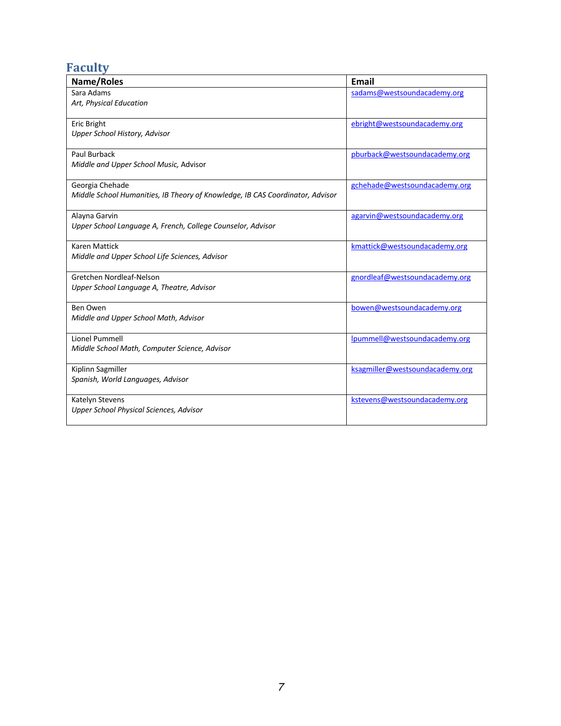## **Faculty**

| Name/Roles                                                                    | <b>Email</b>                    |
|-------------------------------------------------------------------------------|---------------------------------|
| Sara Adams                                                                    | sadams@westsoundacademy.org     |
| Art, Physical Education                                                       |                                 |
| Eric Bright                                                                   | ebright@westsoundacademy.org    |
| Upper School History, Advisor                                                 |                                 |
| Paul Burback                                                                  | pburback@westsoundacademy.org   |
| Middle and Upper School Music, Advisor                                        |                                 |
| Georgia Chehade                                                               | gchehade@westsoundacademy.org   |
| Middle School Humanities, IB Theory of Knowledge, IB CAS Coordinator, Advisor |                                 |
| Alayna Garvin                                                                 | agarvin@westsoundacademy.org    |
| Upper School Language A, French, College Counselor, Advisor                   |                                 |
| <b>Karen Mattick</b>                                                          | kmattick@westsoundacademy.org   |
| Middle and Upper School Life Sciences, Advisor                                |                                 |
| Gretchen Nordleaf-Nelson                                                      | gnordleaf@westsoundacademy.org  |
| Upper School Language A, Theatre, Advisor                                     |                                 |
| Ben Owen                                                                      | bowen@westsoundacademy.org      |
| Middle and Upper School Math, Advisor                                         |                                 |
| Lionel Pummell                                                                | lpummell@westsoundacademy.org   |
| Middle School Math, Computer Science, Advisor                                 |                                 |
| Kiplinn Sagmiller                                                             | ksagmiller@westsoundacademy.org |
| Spanish, World Languages, Advisor                                             |                                 |
| Katelyn Stevens                                                               | kstevens@westsoundacademy.org   |
| Upper School Physical Sciences, Advisor                                       |                                 |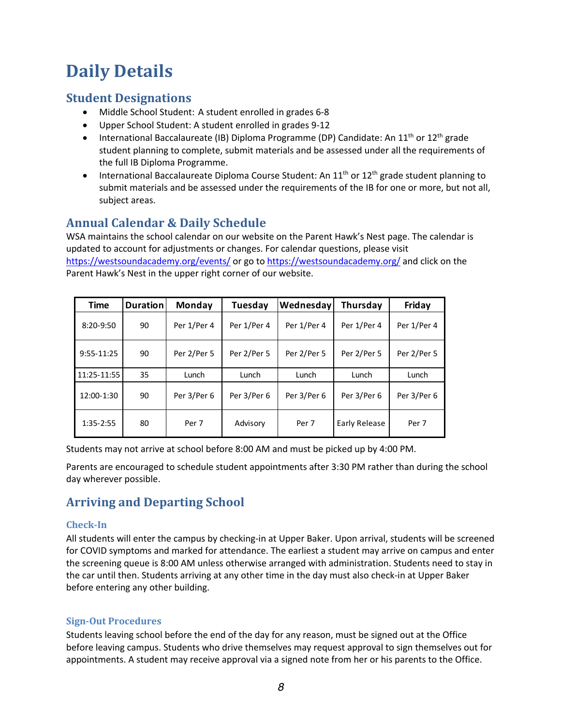## **Daily Details**

## **Student Designations**

- Middle School Student: A student enrolled in grades 6-8
- Upper School Student: A student enrolled in grades 9-12
- International Baccalaureate (IB) Diploma Programme (DP) Candidate: An  $11<sup>th</sup>$  or  $12<sup>th</sup>$  grade student planning to complete, submit materials and be assessed under all the requirements of the full IB Diploma Programme.
- International Baccalaureate Diploma Course Student: An  $11<sup>th</sup>$  or  $12<sup>th</sup>$  grade student planning to submit materials and be assessed under the requirements of the IB for one or more, but not all, subject areas.

## **Annual Calendar & Daily Schedule**

WSA maintains the school calendar on our website on the Parent Hawk's Nest page. The calendar is updated to account for adjustments or changes. For calendar questions, please visit https://westsoundacademy.org/events/ or go to https://westsoundacademy.org/ and click on the Parent Hawk's Nest in the upper right corner of our website.

| <b>Time</b>    | <b>Duration</b> | Monday      | Tuesday     | Wednesday   | Thursday      | Friday      |
|----------------|-----------------|-------------|-------------|-------------|---------------|-------------|
| $8:20-9:50$    | 90              | Per 1/Per 4 | Per 1/Per 4 | Per 1/Per 4 | Per 1/Per 4   | Per 1/Per 4 |
| $9:55 - 11:25$ | 90              | Per 2/Per 5 | Per 2/Per 5 | Per 2/Per 5 | Per 2/Per 5   | Per 2/Per 5 |
| 11:25-11:55    | 35              | Lunch       | Lunch       | Lunch       | Lunch         | Lunch       |
| 12:00-1:30     | 90              | Per 3/Per 6 | Per 3/Per 6 | Per 3/Per 6 | Per 3/Per 6   | Per 3/Per 6 |
| 1:35-2:55      | 80              | Per 7       | Advisory    | Per 7       | Early Release | Per 7       |

Students may not arrive at school before 8:00 AM and must be picked up by 4:00 PM.

Parents are encouraged to schedule student appointments after 3:30 PM rather than during the school day wherever possible.

## **Arriving and Departing School**

#### **Check-In**

All students will enter the campus by checking-in at Upper Baker. Upon arrival, students will be screened for COVID symptoms and marked for attendance. The earliest a student may arrive on campus and enter the screening queue is 8:00 AM unless otherwise arranged with administration. Students need to stay in the car until then. Students arriving at any other time in the day must also check-in at Upper Baker before entering any other building.

#### **Sign-Out Procedures**

Students leaving school before the end of the day for any reason, must be signed out at the Office before leaving campus. Students who drive themselves may request approval to sign themselves out for appointments. A student may receive approval via a signed note from her or his parents to the Office.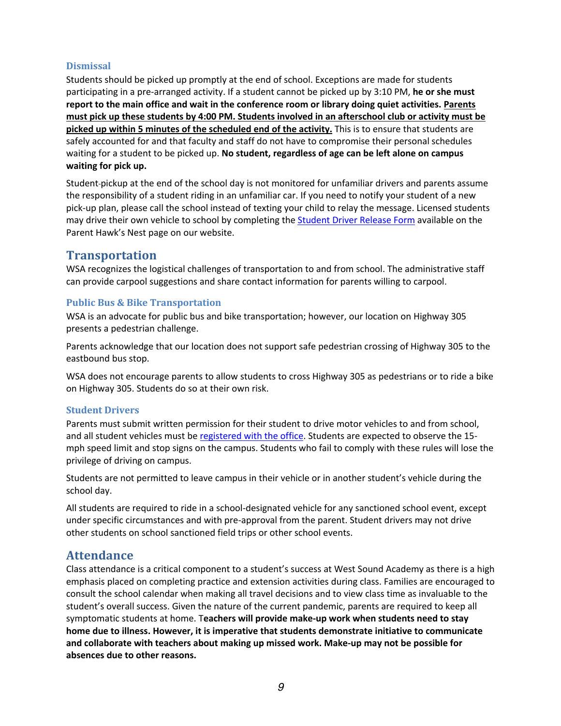#### **Dismissal**

Students should be picked up promptly at the end of school. Exceptions are made for students participating in a pre-arranged activity. If a student cannot be picked up by 3:10 PM, **he or she must report to the main office and wait in the conference room or library doing quiet activities. Parents must pick up these students by 4:00 PM. Students involved in an afterschool club or activity must be picked up within 5 minutes of the scheduled end of the activity.** This is to ensure that students are safely accounted for and that faculty and staff do not have to compromise their personal schedules waiting for a student to be picked up. **No student, regardless of age can be left alone on campus waiting for pick up.**

Student pickup at the end of the school day is not monitored for unfamiliar drivers and parents assume the responsibility of a student riding in an unfamiliar car. If you need to notify your student of a new pick-up plan, please call the school instead of texting your child to relay the message. Licensed students may drive their own vehicle to school by completing the **Student Driver Release Form** available on the Parent Hawk's Nest page on our website.

#### **Transportation**

WSA recognizes the logistical challenges of transportation to and from school. The administrative staff can provide carpool suggestions and share contact information for parents willing to carpool.

#### **Public Bus & Bike Transportation**

WSA is an advocate for public bus and bike transportation; however, our location on Highway 305 presents a pedestrian challenge.

Parents acknowledge that our location does not support safe pedestrian crossing of Highway 305 to the eastbound bus stop.

WSA does not encourage parents to allow students to cross Highway 305 as pedestrians or to ride a bike on Highway 305. Students do so at their own risk.

#### **Student Drivers**

Parents must submit written permission for their student to drive motor vehicles to and from school, and all student vehicles must be registered with the office. Students are expected to observe the 15mph speed limit and stop signs on the campus. Students who fail to comply with these rules will lose the privilege of driving on campus.

Students are not permitted to leave campus in their vehicle or in another student's vehicle during the school day.

All students are required to ride in a school-designated vehicle for any sanctioned school event, except under specific circumstances and with pre-approval from the parent. Student drivers may not drive other students on school sanctioned field trips or other school events.

#### **Attendance**

Class attendance is a critical component to a student's success at West Sound Academy as there is a high emphasis placed on completing practice and extension activities during class. Families are encouraged to consult the school calendar when making all travel decisions and to view class time as invaluable to the student's overall success. Given the nature of the current pandemic, parents are required to keep all symptomatic students at home. T**eachers will provide make-up work when students need to stay home due to illness. However, it is imperative that students demonstrate initiative to communicate and collaborate with teachers about making up missed work. Make-up may not be possible for absences due to other reasons.**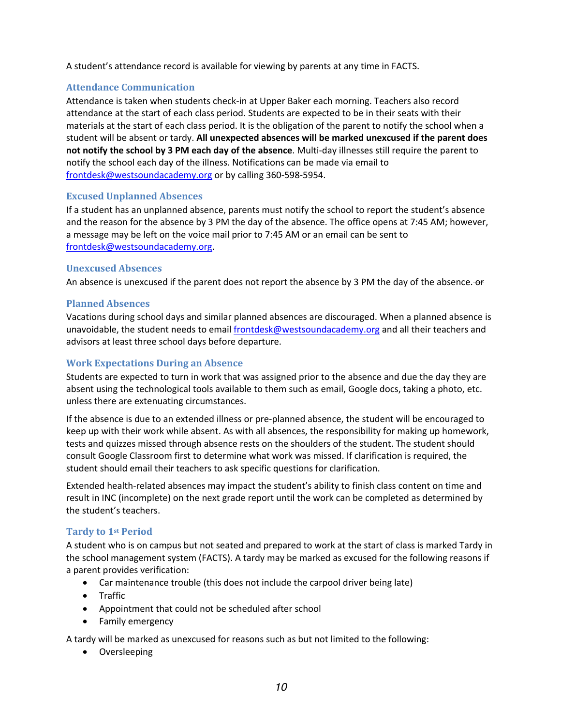A student's attendance record is available for viewing by parents at any time in FACTS.

#### **Attendance Communication**

Attendance is taken when students check-in at Upper Baker each morning. Teachers also record attendance at the start of each class period. Students are expected to be in their seats with their materials at the start of each class period. It is the obligation of the parent to notify the school when a student will be absent or tardy. **All unexpected absences will be marked unexcused if the parent does not notify the school by 3 PM each day of the absence**. Multi-day illnesses still require the parent to notify the school each day of the illness. Notifications can be made via email to frontdesk@westsoundacademy.org or by calling 360-598-5954.

#### **Excused Unplanned Absences**

If a student has an unplanned absence, parents must notify the school to report the student's absence and the reason for the absence by 3 PM the day of the absence. The office opens at 7:45 AM; however, a message may be left on the voice mail prior to 7:45 AM or an email can be sent to frontdesk@westsoundacademy.org.

#### **Unexcused Absences**

An absence is unexcused if the parent does not report the absence by 3 PM the day of the absence. or

#### **Planned Absences**

Vacations during school days and similar planned absences are discouraged. When a planned absence is unavoidable, the student needs to email frontdesk@westsoundacademy.org and all their teachers and advisors at least three school days before departure.

#### **Work Expectations During an Absence**

Students are expected to turn in work that was assigned prior to the absence and due the day they are absent using the technological tools available to them such as email, Google docs, taking a photo, etc. unless there are extenuating circumstances.

If the absence is due to an extended illness or pre-planned absence, the student will be encouraged to keep up with their work while absent. As with all absences, the responsibility for making up homework, tests and quizzes missed through absence rests on the shoulders of the student. The student should consult Google Classroom first to determine what work was missed. If clarification is required, the student should email their teachers to ask specific questions for clarification.

Extended health-related absences may impact the student's ability to finish class content on time and result in INC (incomplete) on the next grade report until the work can be completed as determined by the student's teachers.

#### **Tardy to 1st Period**

A student who is on campus but not seated and prepared to work at the start of class is marked Tardy in the school management system (FACTS). A tardy may be marked as excused for the following reasons if a parent provides verification:

- Car maintenance trouble (this does not include the carpool driver being late)
- Traffic
- Appointment that could not be scheduled after school
- Family emergency

A tardy will be marked as unexcused for reasons such as but not limited to the following:

• Oversleeping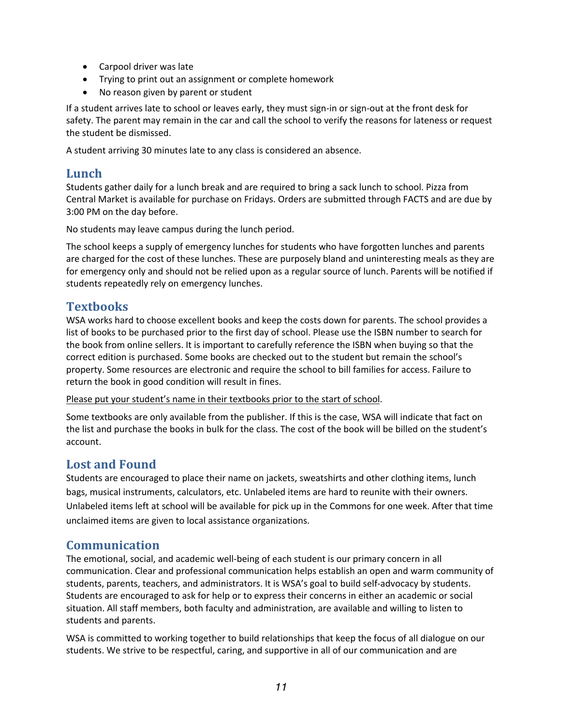- Carpool driver was late
- Trying to print out an assignment or complete homework
- No reason given by parent or student

If a student arrives late to school or leaves early, they must sign-in or sign-out at the front desk for safety. The parent may remain in the car and call the school to verify the reasons for lateness or request the student be dismissed.

A student arriving 30 minutes late to any class is considered an absence.

### **Lunch**

Students gather daily for a lunch break and are required to bring a sack lunch to school. Pizza from Central Market is available for purchase on Fridays. Orders are submitted through FACTS and are due by 3:00 PM on the day before.

No students may leave campus during the lunch period.

The school keeps a supply of emergency lunches for students who have forgotten lunches and parents are charged for the cost of these lunches. These are purposely bland and uninteresting meals as they are for emergency only and should not be relied upon as a regular source of lunch. Parents will be notified if students repeatedly rely on emergency lunches.

## **Textbooks**

WSA works hard to choose excellent books and keep the costs down for parents. The school provides a list of books to be purchased prior to the first day of school. Please use the ISBN number to search for the book from online sellers. It is important to carefully reference the ISBN when buying so that the correct edition is purchased. Some books are checked out to the student but remain the school's property. Some resources are electronic and require the school to bill families for access. Failure to return the book in good condition will result in fines.

Please put your student's name in their textbooks prior to the start of school.

Some textbooks are only available from the publisher. If this is the case, WSA will indicate that fact on the list and purchase the books in bulk for the class. The cost of the book will be billed on the student's account.

## Lost and Found

Students are encouraged to place their name on jackets, sweatshirts and other clothing items, lunch bags, musical instruments, calculators, etc. Unlabeled items are hard to reunite with their owners. Unlabeled items left at school will be available for pick up in the Commons for one week. After that time unclaimed items are given to local assistance organizations.

## **Communication**

The emotional, social, and academic well-being of each student is our primary concern in all communication. Clear and professional communication helps establish an open and warm community of students, parents, teachers, and administrators. It is WSA's goal to build self-advocacy by students. Students are encouraged to ask for help or to express their concerns in either an academic or social situation. All staff members, both faculty and administration, are available and willing to listen to students and parents.

WSA is committed to working together to build relationships that keep the focus of all dialogue on our students. We strive to be respectful, caring, and supportive in all of our communication and are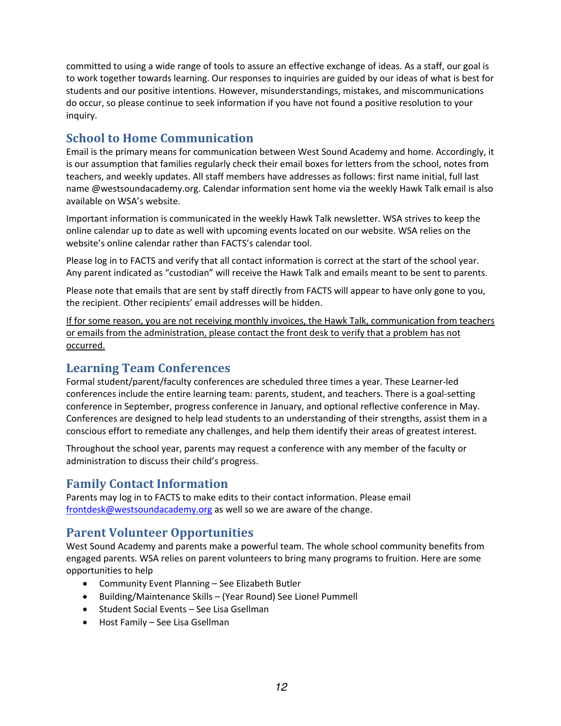committed to using a wide range of tools to assure an effective exchange of ideas. As a staff, our goal is to work together towards learning. Our responses to inquiries are guided by our ideas of what is best for students and our positive intentions. However, misunderstandings, mistakes, and miscommunications do occur, so please continue to seek information if you have not found a positive resolution to your inquiry.

## **School to Home Communication**

Email is the primary means for communication between West Sound Academy and home. Accordingly, it is our assumption that families regularly check their email boxes for letters from the school, notes from teachers, and weekly updates. All staff members have addresses as follows: first name initial, full last name @westsoundacademy.org. Calendar information sent home via the weekly Hawk Talk email is also available on WSA's website.

Important information is communicated in the weekly Hawk Talk newsletter. WSA strives to keep the online calendar up to date as well with upcoming events located on our website. WSA relies on the website's online calendar rather than FACTS's calendar tool.

Please log in to FACTS and verify that all contact information is correct at the start of the school year. Any parent indicated as "custodian" will receive the Hawk Talk and emails meant to be sent to parents.

Please note that emails that are sent by staff directly from FACTS will appear to have only gone to you, the recipient. Other recipients' email addresses will be hidden.

If for some reason, you are not receiving monthly invoices, the Hawk Talk, communication from teachers or emails from the administration, please contact the front desk to verify that a problem has not occurred.

## **Learning Team Conferences**

Formal student/parent/faculty conferences are scheduled three times a year. These Learner-led conferences include the entire learning team: parents, student, and teachers. There is a goal-setting conference in September, progress conference in January, and optional reflective conference in May. Conferences are designed to help lead students to an understanding of their strengths, assist them in a conscious effort to remediate any challenges, and help them identify their areas of greatest interest.

Throughout the school year, parents may request a conference with any member of the faculty or administration to discuss their child's progress.

## **Family Contact Information**

Parents may log in to FACTS to make edits to their contact information. Please email frontdesk@westsoundacademy.org as well so we are aware of the change.

## **Parent Volunteer Opportunities**

West Sound Academy and parents make a powerful team. The whole school community benefits from engaged parents. WSA relies on parent volunteers to bring many programs to fruition. Here are some opportunities to help

- Community Event Planning See Elizabeth Butler
- Building/Maintenance Skills (Year Round) See Lionel Pummell
- Student Social Events See Lisa Gsellman
- Host Family See Lisa Gsellman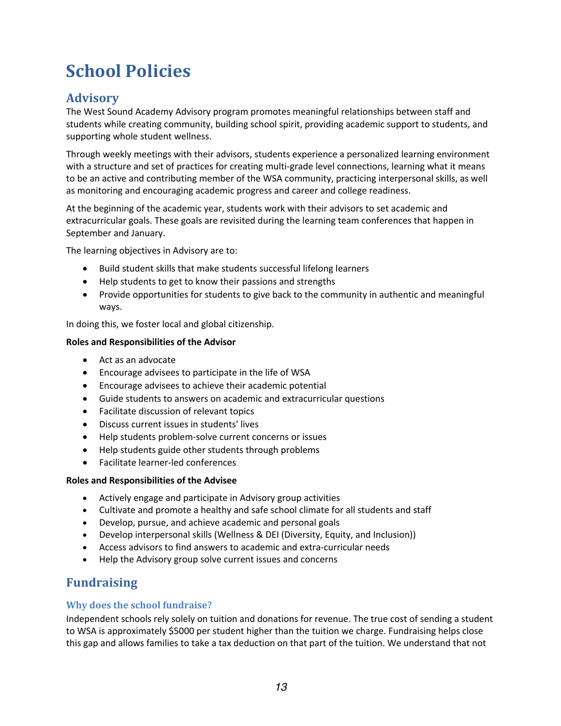## **School Policies**

## **Advisory**

The West Sound Academy Advisory program promotes meaningful relationships between staff and students while creating community, building school spirit, providing academic support to students, and supporting whole student wellness.

Through weekly meetings with their advisors, students experience a personalized learning environment with a structure and set of practices for creating multi-grade level connections, learning what it means to be an active and contributing member of the WSA community, practicing interpersonal skills, as well as monitoring and encouraging academic progress and career and college readiness.

At the beginning of the academic year, students work with their advisors to set academic and extracurricular goals. These goals are revisited during the learning team conferences that happen in September and January.

The learning objectives in Advisory are to:

- Build student skills that make students successful lifelong learners
- Help students to get to know their passions and strengths
- Provide opportunities for students to give back to the community in authentic and meaningful ways.

In doing this, we foster local and global citizenship.

#### **Roles and Responsibilities of the Advisor**

- Act as an advocate
- Encourage advisees to participate in the life of WSA
- Encourage advisees to achieve their academic potential
- Guide students to answers on academic and extracurricular questions
- Facilitate discussion of relevant topics
- Discuss current issues in students' lives
- Help students problem-solve current concerns or issues
- Help students guide other students through problems
- Facilitate learner-led conferences

#### **Roles and Responsibilities of the Advisee**

- Actively engage and participate in Advisory group activities
- Cultivate and promote a healthy and safe school climate for all students and staff
- Develop, pursue, and achieve academic and personal goals
- Develop interpersonal skills (Wellness & DEI (Diversity, Equity, and Inclusion))
- Access advisors to find answers to academic and extra-curricular needs
- Help the Advisory group solve current issues and concerns

## **Fundraising**

#### **Why does the school fundraise?**

Independent schools rely solely on tuition and donations for revenue. The true cost of sending a student to WSA is approximately \$5000 per student higher than the tuition we charge. Fundraising helps close this gap and allows families to take a tax deduction on that part of the tuition. We understand that not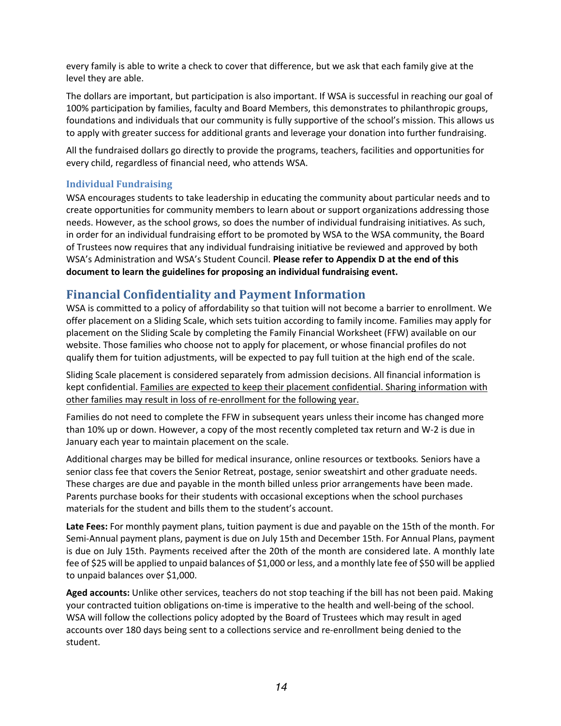every family is able to write a check to cover that difference, but we ask that each family give at the level they are able.

The dollars are important, but participation is also important. If WSA is successful in reaching our goal of 100% participation by families, faculty and Board Members, this demonstrates to philanthropic groups, foundations and individuals that our community is fully supportive of the school's mission. This allows us to apply with greater success for additional grants and leverage your donation into further fundraising.

All the fundraised dollars go directly to provide the programs, teachers, facilities and opportunities for every child, regardless of financial need, who attends WSA.

#### **Individual Fundraising**

WSA encourages students to take leadership in educating the community about particular needs and to create opportunities for community members to learn about or support organizations addressing those needs. However, as the school grows, so does the number of individual fundraising initiatives. As such, in order for an individual fundraising effort to be promoted by WSA to the WSA community, the Board of Trustees now requires that any individual fundraising initiative be reviewed and approved by both WSA's Administration and WSA's Student Council. **Please refer to Appendix D at the end of this document to learn the guidelines for proposing an individual fundraising event.**

## **Financial Confidentiality and Payment Information**

WSA is committed to a policy of affordability so that tuition will not become a barrier to enrollment. We offer placement on a Sliding Scale, which sets tuition according to family income. Families may apply for placement on the Sliding Scale by completing the Family Financial Worksheet (FFW) available on our website. Those families who choose not to apply for placement, or whose financial profiles do not qualify them for tuition adjustments, will be expected to pay full tuition at the high end of the scale.

Sliding Scale placement is considered separately from admission decisions. All financial information is kept confidential. Families are expected to keep their placement confidential. Sharing information with other families may result in loss of re-enrollment for the following year.

Families do not need to complete the FFW in subsequent years unless their income has changed more than 10% up or down. However, a copy of the most recently completed tax return and W-2 is due in January each year to maintain placement on the scale.

Additional charges may be billed for medical insurance, online resources or textbooks*.* Seniors have a senior class fee that covers the Senior Retreat, postage, senior sweatshirt and other graduate needs. These charges are due and payable in the month billed unless prior arrangements have been made. Parents purchase books for their students with occasional exceptions when the school purchases materials for the student and bills them to the student's account.

**Late Fees:** For monthly payment plans, tuition payment is due and payable on the 15th of the month. For Semi-Annual payment plans, payment is due on July 15th and December 15th. For Annual Plans, payment is due on July 15th. Payments received after the 20th of the month are considered late. A monthly late fee of \$25 will be applied to unpaid balances of \$1,000 or less, and a monthly late fee of \$50 will be applied to unpaid balances over \$1,000.

**Aged accounts:** Unlike other services, teachers do not stop teaching if the bill has not been paid. Making your contracted tuition obligations on-time is imperative to the health and well-being of the school. WSA will follow the collections policy adopted by the Board of Trustees which may result in aged accounts over 180 days being sent to a collections service and re-enrollment being denied to the student.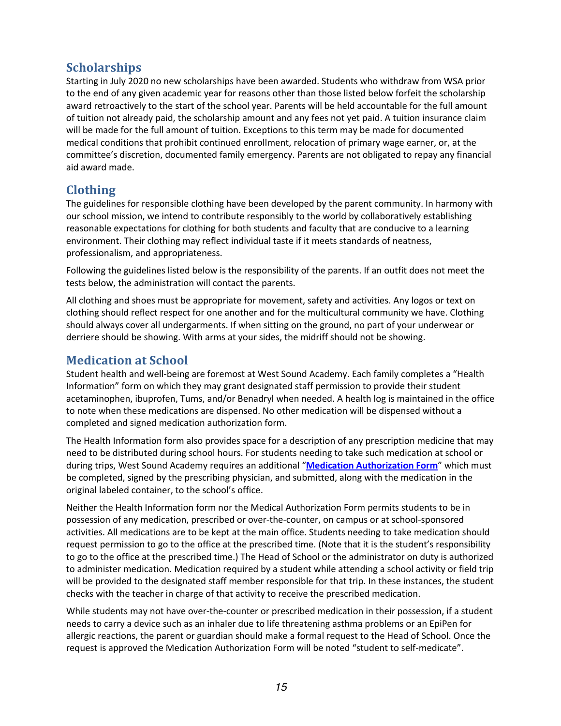## **Scholarships**

Starting in July 2020 no new scholarships have been awarded. Students who withdraw from WSA prior to the end of any given academic year for reasons other than those listed below forfeit the scholarship award retroactively to the start of the school year. Parents will be held accountable for the full amount of tuition not already paid, the scholarship amount and any fees not yet paid. A tuition insurance claim will be made for the full amount of tuition. Exceptions to this term may be made for documented medical conditions that prohibit continued enrollment, relocation of primary wage earner, or, at the committee's discretion, documented family emergency. Parents are not obligated to repay any financial aid award made.

## **Clothing**

The guidelines for responsible clothing have been developed by the parent community. In harmony with our school mission, we intend to contribute responsibly to the world by collaboratively establishing reasonable expectations for clothing for both students and faculty that are conducive to a learning environment. Their clothing may reflect individual taste if it meets standards of neatness, professionalism, and appropriateness.

Following the guidelines listed below is the responsibility of the parents. If an outfit does not meet the tests below, the administration will contact the parents.

All clothing and shoes must be appropriate for movement, safety and activities. Any logos or text on clothing should reflect respect for one another and for the multicultural community we have. Clothing should always cover all undergarments. If when sitting on the ground, no part of your underwear or derriere should be showing. With arms at your sides, the midriff should not be showing.

## **Medication at School**

Student health and well-being are foremost at West Sound Academy. Each family completes a "Health Information" form on which they may grant designated staff permission to provide their student acetaminophen, ibuprofen, Tums, and/or Benadryl when needed. A health log is maintained in the office to note when these medications are dispensed. No other medication will be dispensed without a completed and signed medication authorization form.

The Health Information form also provides space for a description of any prescription medicine that may need to be distributed during school hours. For students needing to take such medication at school or during trips, West Sound Academy requires an additional "**Medication Authorization Form**" which must be completed, signed by the prescribing physician, and submitted, along with the medication in the original labeled container, to the school's office.

Neither the Health Information form nor the Medical Authorization Form permits students to be in possession of any medication, prescribed or over-the-counter, on campus or at school-sponsored activities. All medications are to be kept at the main office. Students needing to take medication should request permission to go to the office at the prescribed time. (Note that it is the student's responsibility to go to the office at the prescribed time.) The Head of School or the administrator on duty is authorized to administer medication. Medication required by a student while attending a school activity or field trip will be provided to the designated staff member responsible for that trip. In these instances, the student checks with the teacher in charge of that activity to receive the prescribed medication.

While students may not have over-the-counter or prescribed medication in their possession, if a student needs to carry a device such as an inhaler due to life threatening asthma problems or an EpiPen for allergic reactions, the parent or guardian should make a formal request to the Head of School. Once the request is approved the Medication Authorization Form will be noted "student to self-medicate".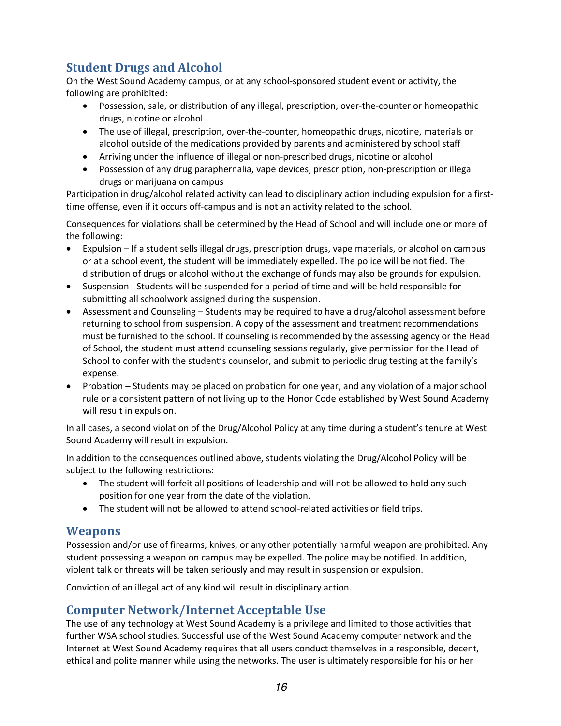## **Student Drugs and Alcohol**

On the West Sound Academy campus, or at any school-sponsored student event or activity, the following are prohibited:

- Possession, sale, or distribution of any illegal, prescription, over-the-counter or homeopathic drugs, nicotine or alcohol
- The use of illegal, prescription, over-the-counter, homeopathic drugs, nicotine, materials or alcohol outside of the medications provided by parents and administered by school staff
- Arriving under the influence of illegal or non-prescribed drugs, nicotine or alcohol
- Possession of any drug paraphernalia, vape devices, prescription, non-prescription or illegal drugs or marijuana on campus

Participation in drug/alcohol related activity can lead to disciplinary action including expulsion for a firsttime offense, even if it occurs off-campus and is not an activity related to the school.

Consequences for violations shall be determined by the Head of School and will include one or more of the following:

- Expulsion If a student sells illegal drugs, prescription drugs, vape materials, or alcohol on campus or at a school event, the student will be immediately expelled. The police will be notified. The distribution of drugs or alcohol without the exchange of funds may also be grounds for expulsion.
- Suspension Students will be suspended for a period of time and will be held responsible for submitting all schoolwork assigned during the suspension.
- Assessment and Counseling Students may be required to have a drug/alcohol assessment before returning to school from suspension. A copy of the assessment and treatment recommendations must be furnished to the school. If counseling is recommended by the assessing agency or the Head of School, the student must attend counseling sessions regularly, give permission for the Head of School to confer with the student's counselor, and submit to periodic drug testing at the family's expense.
- Probation Students may be placed on probation for one year, and any violation of a major school rule or a consistent pattern of not living up to the Honor Code established by West Sound Academy will result in expulsion.

In all cases, a second violation of the Drug/Alcohol Policy at any time during a student's tenure at West Sound Academy will result in expulsion.

In addition to the consequences outlined above, students violating the Drug/Alcohol Policy will be subject to the following restrictions:

- The student will forfeit all positions of leadership and will not be allowed to hold any such position for one year from the date of the violation.
- The student will not be allowed to attend school-related activities or field trips.

## **Weapons**

Possession and/or use of firearms, knives, or any other potentially harmful weapon are prohibited. Any student possessing a weapon on campus may be expelled. The police may be notified. In addition, violent talk or threats will be taken seriously and may result in suspension or expulsion.

Conviction of an illegal act of any kind will result in disciplinary action.

## **Computer Network/Internet Acceptable Use**

The use of any technology at West Sound Academy is a privilege and limited to those activities that further WSA school studies. Successful use of the West Sound Academy computer network and the Internet at West Sound Academy requires that all users conduct themselves in a responsible, decent, ethical and polite manner while using the networks. The user is ultimately responsible for his or her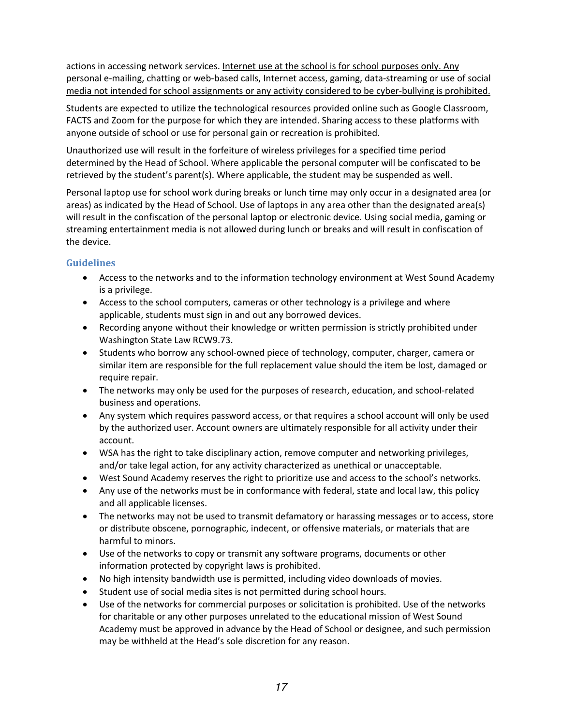actions in accessing network services. Internet use at the school is for school purposes only. Any personal e-mailing, chatting or web-based calls, Internet access, gaming, data-streaming or use of social media not intended for school assignments or any activity considered to be cyber-bullying is prohibited.

Students are expected to utilize the technological resources provided online such as Google Classroom, FACTS and Zoom for the purpose for which they are intended. Sharing access to these platforms with anyone outside of school or use for personal gain or recreation is prohibited.

Unauthorized use will result in the forfeiture of wireless privileges for a specified time period determined by the Head of School. Where applicable the personal computer will be confiscated to be retrieved by the student's parent(s). Where applicable, the student may be suspended as well.

Personal laptop use for school work during breaks or lunch time may only occur in a designated area (or areas) as indicated by the Head of School. Use of laptops in any area other than the designated area(s) will result in the confiscation of the personal laptop or electronic device. Using social media, gaming or streaming entertainment media is not allowed during lunch or breaks and will result in confiscation of the device.

#### **Guidelines**

- Access to the networks and to the information technology environment at West Sound Academy is a privilege.
- Access to the school computers, cameras or other technology is a privilege and where applicable, students must sign in and out any borrowed devices.
- Recording anyone without their knowledge or written permission is strictly prohibited under Washington State Law RCW9.73.
- Students who borrow any school-owned piece of technology, computer, charger, camera or similar item are responsible for the full replacement value should the item be lost, damaged or require repair.
- The networks may only be used for the purposes of research, education, and school-related business and operations.
- Any system which requires password access, or that requires a school account will only be used by the authorized user. Account owners are ultimately responsible for all activity under their account.
- WSA has the right to take disciplinary action, remove computer and networking privileges, and/or take legal action, for any activity characterized as unethical or unacceptable.
- West Sound Academy reserves the right to prioritize use and access to the school's networks.
- Any use of the networks must be in conformance with federal, state and local law, this policy and all applicable licenses.
- The networks may not be used to transmit defamatory or harassing messages or to access, store or distribute obscene, pornographic, indecent, or offensive materials, or materials that are harmful to minors.
- Use of the networks to copy or transmit any software programs, documents or other information protected by copyright laws is prohibited.
- No high intensity bandwidth use is permitted, including video downloads of movies.
- Student use of social media sites is not permitted during school hours.
- Use of the networks for commercial purposes or solicitation is prohibited. Use of the networks for charitable or any other purposes unrelated to the educational mission of West Sound Academy must be approved in advance by the Head of School or designee, and such permission may be withheld at the Head's sole discretion for any reason.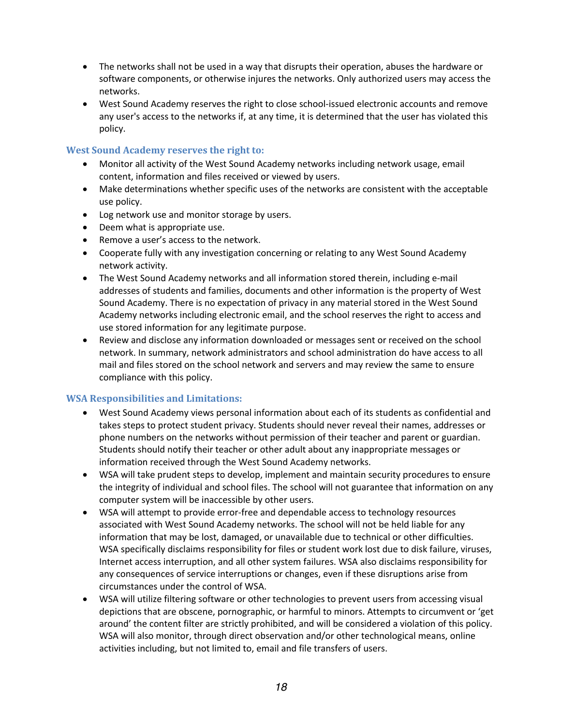- The networks shall not be used in a way that disrupts their operation, abuses the hardware or software components, or otherwise injures the networks. Only authorized users may access the networks.
- West Sound Academy reserves the right to close school-issued electronic accounts and remove any user's access to the networks if, at any time, it is determined that the user has violated this policy.

#### **West Sound Academy reserves the right to:**

- Monitor all activity of the West Sound Academy networks including network usage, email content, information and files received or viewed by users.
- Make determinations whether specific uses of the networks are consistent with the acceptable use policy.
- Log network use and monitor storage by users.
- Deem what is appropriate use.
- Remove a user's access to the network.
- Cooperate fully with any investigation concerning or relating to any West Sound Academy network activity.
- The West Sound Academy networks and all information stored therein, including e-mail addresses of students and families, documents and other information is the property of West Sound Academy. There is no expectation of privacy in any material stored in the West Sound Academy networks including electronic email, and the school reserves the right to access and use stored information for any legitimate purpose.
- Review and disclose any information downloaded or messages sent or received on the school network. In summary, network administrators and school administration do have access to all mail and files stored on the school network and servers and may review the same to ensure compliance with this policy.

#### **WSA Responsibilities and Limitations:**

- West Sound Academy views personal information about each of its students as confidential and takes steps to protect student privacy. Students should never reveal their names, addresses or phone numbers on the networks without permission of their teacher and parent or guardian. Students should notify their teacher or other adult about any inappropriate messages or information received through the West Sound Academy networks.
- WSA will take prudent steps to develop, implement and maintain security procedures to ensure the integrity of individual and school files. The school will not guarantee that information on any computer system will be inaccessible by other users.
- WSA will attempt to provide error-free and dependable access to technology resources associated with West Sound Academy networks. The school will not be held liable for any information that may be lost, damaged, or unavailable due to technical or other difficulties. WSA specifically disclaims responsibility for files or student work lost due to disk failure, viruses, Internet access interruption, and all other system failures. WSA also disclaims responsibility for any consequences of service interruptions or changes, even if these disruptions arise from circumstances under the control of WSA.
- WSA will utilize filtering software or other technologies to prevent users from accessing visual depictions that are obscene, pornographic, or harmful to minors. Attempts to circumvent or 'get around' the content filter are strictly prohibited, and will be considered a violation of this policy. WSA will also monitor, through direct observation and/or other technological means, online activities including, but not limited to, email and file transfers of users.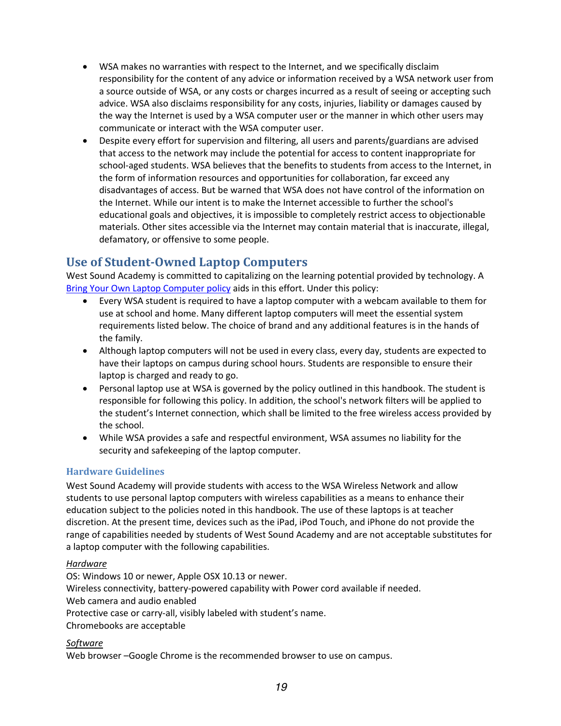- WSA makes no warranties with respect to the Internet, and we specifically disclaim responsibility for the content of any advice or information received by a WSA network user from a source outside of WSA, or any costs or charges incurred as a result of seeing or accepting such advice. WSA also disclaims responsibility for any costs, injuries, liability or damages caused by the way the Internet is used by a WSA computer user or the manner in which other users may communicate or interact with the WSA computer user.
- Despite every effort for supervision and filtering, all users and parents/guardians are advised that access to the network may include the potential for access to content inappropriate for school-aged students. WSA believes that the benefits to students from access to the Internet, in the form of information resources and opportunities for collaboration, far exceed any disadvantages of access. But be warned that WSA does not have control of the information on the Internet. While our intent is to make the Internet accessible to further the school's educational goals and objectives, it is impossible to completely restrict access to objectionable materials. Other sites accessible via the Internet may contain material that is inaccurate, illegal, defamatory, or offensive to some people.

## **Use of Student-Owned Laptop Computers**

West Sound Academy is committed to capitalizing on the learning potential provided by technology. A Bring Your Own Laptop Computer policy aids in this effort. Under this policy:

- Every WSA student is required to have a laptop computer with a webcam available to them for use at school and home. Many different laptop computers will meet the essential system requirements listed below. The choice of brand and any additional features is in the hands of the family.
- Although laptop computers will not be used in every class, every day, students are expected to have their laptops on campus during school hours. Students are responsible to ensure their laptop is charged and ready to go.
- Personal laptop use at WSA is governed by the policy outlined in this handbook. The student is responsible for following this policy. In addition, the school's network filters will be applied to the student's Internet connection, which shall be limited to the free wireless access provided by the school.
- While WSA provides a safe and respectful environment, WSA assumes no liability for the security and safekeeping of the laptop computer.

#### **Hardware Guidelines**

West Sound Academy will provide students with access to the WSA Wireless Network and allow students to use personal laptop computers with wireless capabilities as a means to enhance their education subject to the policies noted in this handbook. The use of these laptops is at teacher discretion. At the present time, devices such as the iPad, iPod Touch, and iPhone do not provide the range of capabilities needed by students of West Sound Academy and are not acceptable substitutes for a laptop computer with the following capabilities.

#### *Hardware*

OS: Windows 10 or newer, Apple OSX 10.13 or newer. Wireless connectivity, battery-powered capability with Power cord available if needed. Web camera and audio enabled Protective case or carry-all, visibly labeled with student's name. Chromebooks are acceptable

#### *Software*

Web browser –Google Chrome is the recommended browser to use on campus.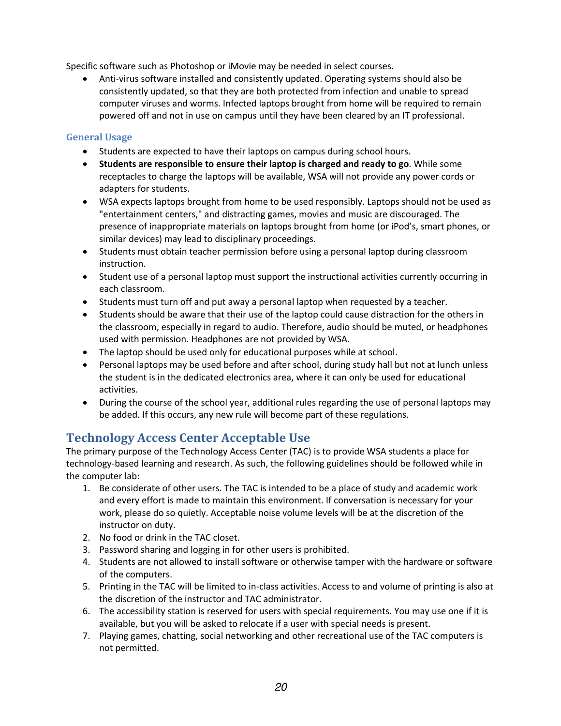Specific software such as Photoshop or iMovie may be needed in select courses.

• Anti-virus software installed and consistently updated. Operating systems should also be consistently updated, so that they are both protected from infection and unable to spread computer viruses and worms. Infected laptops brought from home will be required to remain powered off and not in use on campus until they have been cleared by an IT professional.

#### **General Usage**

- Students are expected to have their laptops on campus during school hours.
- **Students are responsible to ensure their laptop is charged and ready to go**. While some receptacles to charge the laptops will be available, WSA will not provide any power cords or adapters for students.
- WSA expects laptops brought from home to be used responsibly. Laptops should not be used as "entertainment centers," and distracting games, movies and music are discouraged. The presence of inappropriate materials on laptops brought from home (or iPod's, smart phones, or similar devices) may lead to disciplinary proceedings.
- Students must obtain teacher permission before using a personal laptop during classroom instruction.
- Student use of a personal laptop must support the instructional activities currently occurring in each classroom.
- Students must turn off and put away a personal laptop when requested by a teacher.
- Students should be aware that their use of the laptop could cause distraction for the others in the classroom, especially in regard to audio. Therefore, audio should be muted, or headphones used with permission. Headphones are not provided by WSA.
- The laptop should be used only for educational purposes while at school.
- Personal laptops may be used before and after school, during study hall but not at lunch unless the student is in the dedicated electronics area, where it can only be used for educational activities.
- During the course of the school year, additional rules regarding the use of personal laptops may be added. If this occurs, any new rule will become part of these regulations.

## **Technology Access Center Acceptable Use**

The primary purpose of the Technology Access Center (TAC) is to provide WSA students a place for technology-based learning and research. As such, the following guidelines should be followed while in the computer lab:

- 1. Be considerate of other users. The TAC is intended to be a place of study and academic work and every effort is made to maintain this environment. If conversation is necessary for your work, please do so quietly. Acceptable noise volume levels will be at the discretion of the instructor on duty.
- 2. No food or drink in the TAC closet.
- 3. Password sharing and logging in for other users is prohibited.
- 4. Students are not allowed to install software or otherwise tamper with the hardware or software of the computers.
- 5. Printing in the TAC will be limited to in-class activities. Access to and volume of printing is also at the discretion of the instructor and TAC administrator.
- 6. The accessibility station is reserved for users with special requirements. You may use one if it is available, but you will be asked to relocate if a user with special needs is present.
- 7. Playing games, chatting, social networking and other recreational use of the TAC computers is not permitted.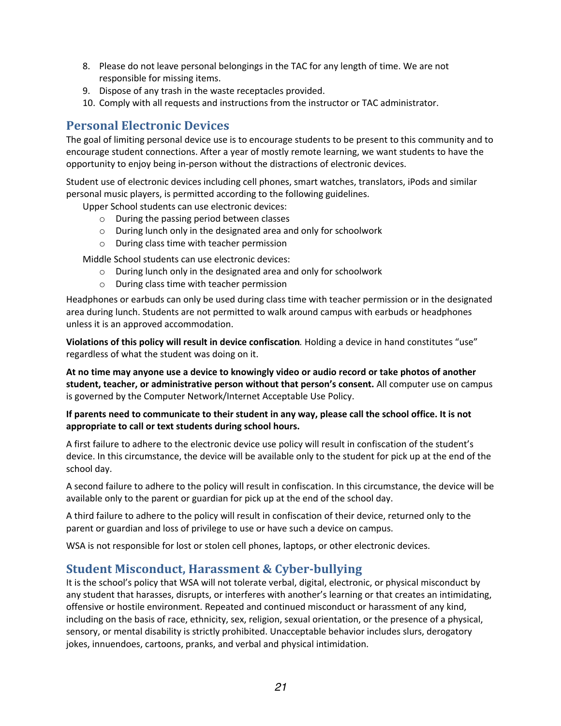- 8. Please do not leave personal belongings in the TAC for any length of time. We are not responsible for missing items.
- 9. Dispose of any trash in the waste receptacles provided.
- 10. Comply with all requests and instructions from the instructor or TAC administrator.

## **Personal Electronic Devices**

The goal of limiting personal device use is to encourage students to be present to this community and to encourage student connections. After a year of mostly remote learning, we want students to have the opportunity to enjoy being in-person without the distractions of electronic devices.

Student use of electronic devices including cell phones, smart watches, translators, iPods and similar personal music players, is permitted according to the following guidelines.

Upper School students can use electronic devices:

- o During the passing period between classes
- o During lunch only in the designated area and only for schoolwork
- o During class time with teacher permission

Middle School students can use electronic devices:

- o During lunch only in the designated area and only for schoolwork
- o During class time with teacher permission

Headphones or earbuds can only be used during class time with teacher permission or in the designated area during lunch. Students are not permitted to walk around campus with earbuds or headphones unless it is an approved accommodation.

**Violations of this policy will result in device confiscation***.* Holding a device in hand constitutes "use" regardless of what the student was doing on it.

**At no time may anyone use a device to knowingly video or audio record or take photos of another student, teacher, or administrative person without that person's consent.** All computer use on campus is governed by the Computer Network/Internet Acceptable Use Policy.

#### **If parents need to communicate to their student in any way, please call the school office. It is not appropriate to call or text students during school hours.**

A first failure to adhere to the electronic device use policy will result in confiscation of the student's device. In this circumstance, the device will be available only to the student for pick up at the end of the school day.

A second failure to adhere to the policy will result in confiscation. In this circumstance, the device will be available only to the parent or guardian for pick up at the end of the school day.

A third failure to adhere to the policy will result in confiscation of their device, returned only to the parent or guardian and loss of privilege to use or have such a device on campus.

WSA is not responsible for lost or stolen cell phones, laptops, or other electronic devices.

## **Student Misconduct, Harassment & Cyber-bullying**

It is the school's policy that WSA will not tolerate verbal, digital, electronic, or physical misconduct by any student that harasses, disrupts, or interferes with another's learning or that creates an intimidating, offensive or hostile environment. Repeated and continued misconduct or harassment of any kind, including on the basis of race, ethnicity, sex, religion, sexual orientation, or the presence of a physical, sensory, or mental disability is strictly prohibited. Unacceptable behavior includes slurs, derogatory jokes, innuendoes, cartoons, pranks, and verbal and physical intimidation.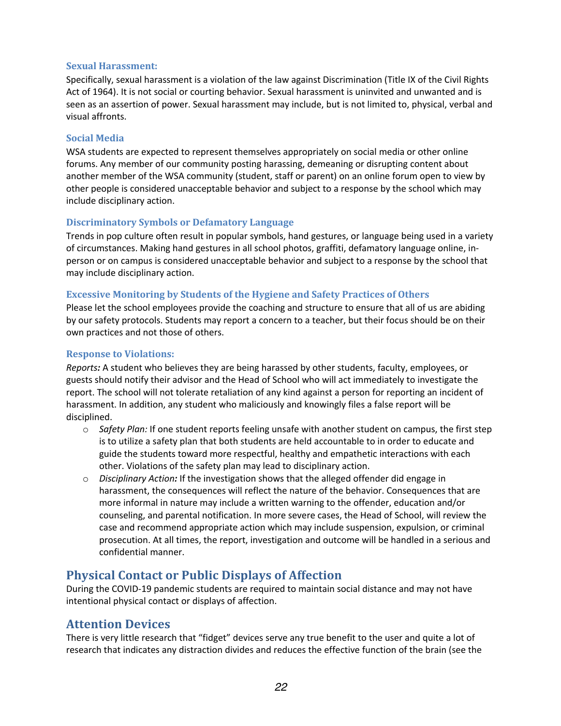#### **Sexual Harassment:**

Specifically, sexual harassment is a violation of the law against Discrimination (Title IX of the Civil Rights Act of 1964). It is not social or courting behavior. Sexual harassment is uninvited and unwanted and is seen as an assertion of power. Sexual harassment may include, but is not limited to, physical, verbal and visual affronts.

#### **Social Media**

WSA students are expected to represent themselves appropriately on social media or other online forums. Any member of our community posting harassing, demeaning or disrupting content about another member of the WSA community (student, staff or parent) on an online forum open to view by other people is considered unacceptable behavior and subject to a response by the school which may include disciplinary action.

#### **Discriminatory Symbols or Defamatory Language**

Trends in pop culture often result in popular symbols, hand gestures, or language being used in a variety of circumstances. Making hand gestures in all school photos, graffiti, defamatory language online, inperson or on campus is considered unacceptable behavior and subject to a response by the school that may include disciplinary action.

#### **Excessive Monitoring by Students of the Hygiene and Safety Practices of Others**

Please let the school employees provide the coaching and structure to ensure that all of us are abiding by our safety protocols. Students may report a concern to a teacher, but their focus should be on their own practices and not those of others.

#### **Response to Violations:**

*Reports:* A student who believes they are being harassed by other students, faculty, employees, or guests should notify their advisor and the Head of School who will act immediately to investigate the report. The school will not tolerate retaliation of any kind against a person for reporting an incident of harassment. In addition, any student who maliciously and knowingly files a false report will be disciplined.

- o *Safety Plan:* If one student reports feeling unsafe with another student on campus, the first step is to utilize a safety plan that both students are held accountable to in order to educate and guide the students toward more respectful, healthy and empathetic interactions with each other. Violations of the safety plan may lead to disciplinary action.
- o *Disciplinary Action:* If the investigation shows that the alleged offender did engage in harassment, the consequences will reflect the nature of the behavior. Consequences that are more informal in nature may include a written warning to the offender, education and/or counseling, and parental notification. In more severe cases, the Head of School, will review the case and recommend appropriate action which may include suspension, expulsion, or criminal prosecution. At all times, the report, investigation and outcome will be handled in a serious and confidential manner.

## **Physical Contact or Public Displays of Affection**

During the COVID-19 pandemic students are required to maintain social distance and may not have intentional physical contact or displays of affection.

## **Attention Devices**

There is very little research that "fidget" devices serve any true benefit to the user and quite a lot of research that indicates any distraction divides and reduces the effective function of the brain (see the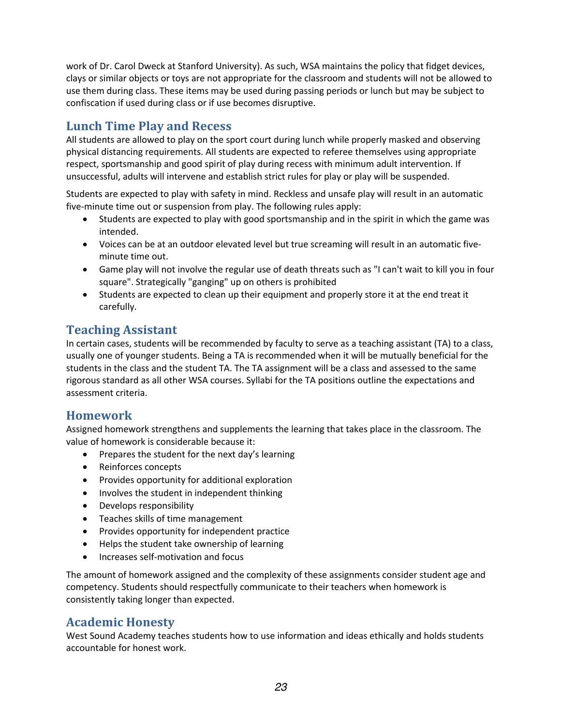work of Dr. Carol Dweck at Stanford University). As such, WSA maintains the policy that fidget devices, clays or similar objects or toys are not appropriate for the classroom and students will not be allowed to use them during class. These items may be used during passing periods or lunch but may be subject to confiscation if used during class or if use becomes disruptive.

## **Lunch Time Play and Recess**

All students are allowed to play on the sport court during lunch while properly masked and observing physical distancing requirements. All students are expected to referee themselves using appropriate respect, sportsmanship and good spirit of play during recess with minimum adult intervention. If unsuccessful, adults will intervene and establish strict rules for play or play will be suspended.

Students are expected to play with safety in mind. Reckless and unsafe play will result in an automatic five-minute time out or suspension from play. The following rules apply:

- Students are expected to play with good sportsmanship and in the spirit in which the game was intended.
- Voices can be at an outdoor elevated level but true screaming will result in an automatic fiveminute time out.
- Game play will not involve the regular use of death threats such as "I can't wait to kill you in four square". Strategically "ganging" up on others is prohibited
- Students are expected to clean up their equipment and properly store it at the end treat it carefully.

## **Teaching Assistant**

In certain cases, students will be recommended by faculty to serve as a teaching assistant (TA) to a class, usually one of younger students. Being a TA is recommended when it will be mutually beneficial for the students in the class and the student TA. The TA assignment will be a class and assessed to the same rigorous standard as all other WSA courses. Syllabi for the TA positions outline the expectations and assessment criteria.

## **Homework**

Assigned homework strengthens and supplements the learning that takes place in the classroom. The value of homework is considerable because it:

- Prepares the student for the next day's learning
- Reinforces concepts
- Provides opportunity for additional exploration
- Involves the student in independent thinking
- Develops responsibility
- Teaches skills of time management
- Provides opportunity for independent practice
- Helps the student take ownership of learning
- Increases self-motivation and focus

The amount of homework assigned and the complexity of these assignments consider student age and competency. Students should respectfully communicate to their teachers when homework is consistently taking longer than expected.

## **Academic Honesty**

West Sound Academy teaches students how to use information and ideas ethically and holds students accountable for honest work.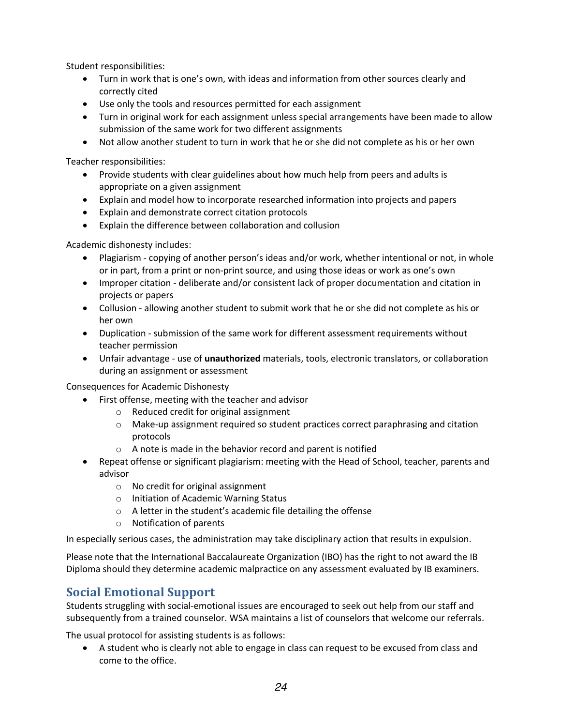Student responsibilities:

- Turn in work that is one's own, with ideas and information from other sources clearly and correctly cited
- Use only the tools and resources permitted for each assignment
- Turn in original work for each assignment unless special arrangements have been made to allow submission of the same work for two different assignments
- Not allow another student to turn in work that he or she did not complete as his or her own

Teacher responsibilities:

- Provide students with clear guidelines about how much help from peers and adults is appropriate on a given assignment
- Explain and model how to incorporate researched information into projects and papers
- Explain and demonstrate correct citation protocols
- Explain the difference between collaboration and collusion

Academic dishonesty includes:

- Plagiarism copying of another person's ideas and/or work, whether intentional or not, in whole or in part, from a print or non-print source, and using those ideas or work as one's own
- Improper citation deliberate and/or consistent lack of proper documentation and citation in projects or papers
- Collusion allowing another student to submit work that he or she did not complete as his or her own
- Duplication submission of the same work for different assessment requirements without teacher permission
- Unfair advantage use of **unauthorized** materials, tools, electronic translators, or collaboration during an assignment or assessment

Consequences for Academic Dishonesty

- First offense, meeting with the teacher and advisor
	- o Reduced credit for original assignment
	- $\circ$  Make-up assignment required so student practices correct paraphrasing and citation protocols
	- o A note is made in the behavior record and parent is notified
- Repeat offense or significant plagiarism: meeting with the Head of School, teacher, parents and advisor
	- o No credit for original assignment
	- o Initiation of Academic Warning Status
	- o A letter in the student's academic file detailing the offense
	- o Notification of parents

In especially serious cases, the administration may take disciplinary action that results in expulsion.

Please note that the International Baccalaureate Organization (IBO) has the right to not award the IB Diploma should they determine academic malpractice on any assessment evaluated by IB examiners.

## **Social Emotional Support**

Students struggling with social-emotional issues are encouraged to seek out help from our staff and subsequently from a trained counselor. WSA maintains a list of counselors that welcome our referrals.

The usual protocol for assisting students is as follows:

• A student who is clearly not able to engage in class can request to be excused from class and come to the office.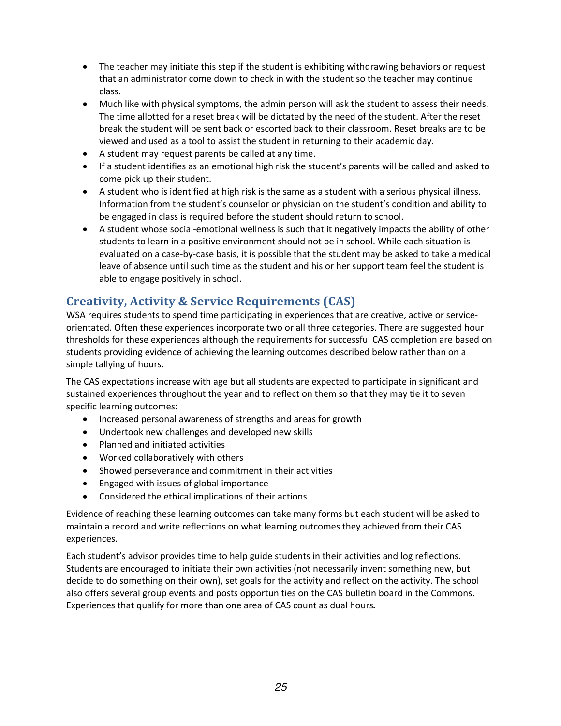- The teacher may initiate this step if the student is exhibiting withdrawing behaviors or request that an administrator come down to check in with the student so the teacher may continue class.
- Much like with physical symptoms, the admin person will ask the student to assess their needs. The time allotted for a reset break will be dictated by the need of the student. After the reset break the student will be sent back or escorted back to their classroom. Reset breaks are to be viewed and used as a tool to assist the student in returning to their academic day.
- A student may request parents be called at any time.
- If a student identifies as an emotional high risk the student's parents will be called and asked to come pick up their student.
- A student who is identified at high risk is the same as a student with a serious physical illness. Information from the student's counselor or physician on the student's condition and ability to be engaged in class is required before the student should return to school.
- A student whose social-emotional wellness is such that it negatively impacts the ability of other students to learn in a positive environment should not be in school. While each situation is evaluated on a case-by-case basis, it is possible that the student may be asked to take a medical leave of absence until such time as the student and his or her support team feel the student is able to engage positively in school.

## **Creativity, Activity & Service Requirements (CAS)**

WSA requires students to spend time participating in experiences that are creative, active or serviceorientated. Often these experiences incorporate two or all three categories. There are suggested hour thresholds for these experiences although the requirements for successful CAS completion are based on students providing evidence of achieving the learning outcomes described below rather than on a simple tallying of hours.

The CAS expectations increase with age but all students are expected to participate in significant and sustained experiences throughout the year and to reflect on them so that they may tie it to seven specific learning outcomes:

- Increased personal awareness of strengths and areas for growth
- Undertook new challenges and developed new skills
- Planned and initiated activities
- Worked collaboratively with others
- Showed perseverance and commitment in their activities
- Engaged with issues of global importance
- Considered the ethical implications of their actions

Evidence of reaching these learning outcomes can take many forms but each student will be asked to maintain a record and write reflections on what learning outcomes they achieved from their CAS experiences.

Each student's advisor provides time to help guide students in their activities and log reflections. Students are encouraged to initiate their own activities (not necessarily invent something new, but decide to do something on their own), set goals for the activity and reflect on the activity. The school also offers several group events and posts opportunities on the CAS bulletin board in the Commons. Experiences that qualify for more than one area of CAS count as dual hours*.*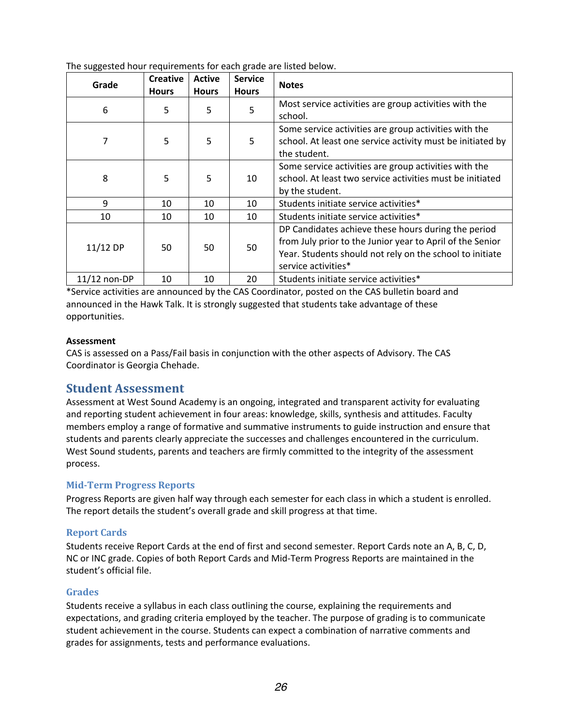| -00<br>Grade | <b>Creative</b><br><b>Hours</b> | <b>Active</b><br><b>Hours</b> | <b>Service</b><br><b>Hours</b> | <b>Notes</b>                                                                                                                                                                                        |
|--------------|---------------------------------|-------------------------------|--------------------------------|-----------------------------------------------------------------------------------------------------------------------------------------------------------------------------------------------------|
| 6            | 5                               | 5                             | 5                              | Most service activities are group activities with the<br>school.                                                                                                                                    |
| 7            | 5                               | 5                             | 5                              | Some service activities are group activities with the<br>school. At least one service activity must be initiated by<br>the student.                                                                 |
| 8            | 5                               | 5                             | 10                             | Some service activities are group activities with the<br>school. At least two service activities must be initiated<br>by the student.                                                               |
| 9            | 10                              | 10                            | 10                             | Students initiate service activities*                                                                                                                                                               |
| 10           | 10                              | 10                            | 10                             | Students initiate service activities*                                                                                                                                                               |
| 11/12 DP     | 50                              | 50                            | 50                             | DP Candidates achieve these hours during the period<br>from July prior to the Junior year to April of the Senior<br>Year. Students should not rely on the school to initiate<br>service activities* |
| 11/12 non-DP | 10                              | 10                            | 20                             | Students initiate service activities*                                                                                                                                                               |

The suggested hour requirements for each grade are listed below.

\*Service activities are announced by the CAS Coordinator, posted on the CAS bulletin board and announced in the Hawk Talk. It is strongly suggested that students take advantage of these opportunities.

#### **Assessment**

CAS is assessed on a Pass/Fail basis in conjunction with the other aspects of Advisory. The CAS Coordinator is Georgia Chehade.

## **Student Assessment**

Assessment at West Sound Academy is an ongoing, integrated and transparent activity for evaluating and reporting student achievement in four areas: knowledge, skills, synthesis and attitudes. Faculty members employ a range of formative and summative instruments to guide instruction and ensure that students and parents clearly appreciate the successes and challenges encountered in the curriculum. West Sound students, parents and teachers are firmly committed to the integrity of the assessment process.

#### **Mid-Term Progress Reports**

Progress Reports are given half way through each semester for each class in which a student is enrolled. The report details the student's overall grade and skill progress at that time.

#### **Report Cards**

Students receive Report Cards at the end of first and second semester. Report Cards note an A, B, C, D, NC or INC grade. Copies of both Report Cards and Mid-Term Progress Reports are maintained in the student's official file.

#### **Grades**

Students receive a syllabus in each class outlining the course, explaining the requirements and expectations, and grading criteria employed by the teacher. The purpose of grading is to communicate student achievement in the course. Students can expect a combination of narrative comments and grades for assignments, tests and performance evaluations.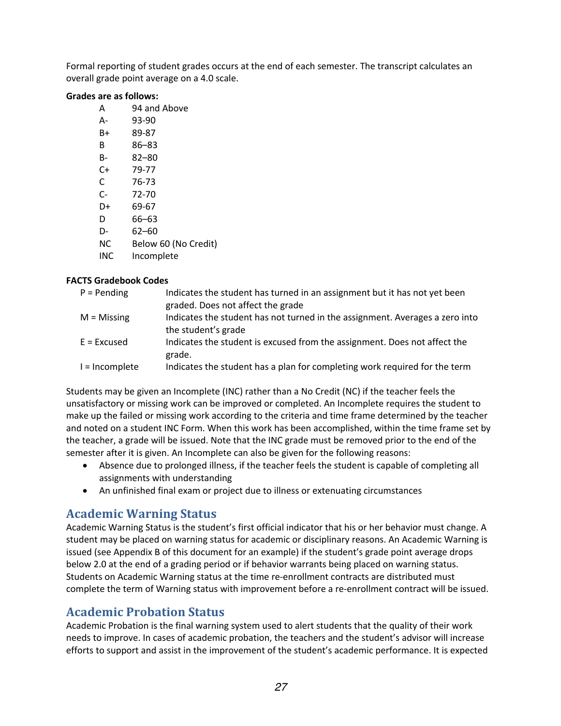Formal reporting of student grades occurs at the end of each semester. The transcript calculates an overall grade point average on a 4.0 scale.

#### **Grades are as follows:**

- A 94 and Above
- A- 93-90
- B+ 89-87
- B 86–83
- B- 82–80
- C+ 79-77
- C 76-73 C- 72-70
- D+ 69-67
- D 66–63
- D- 62–60
- 
- NC Below 60 (No Credit)
- INC Incomplete

#### **FACTS Gradebook Codes**

| $P =$ Pending  | Indicates the student has turned in an assignment but it has not yet been    |
|----------------|------------------------------------------------------------------------------|
|                | graded. Does not affect the grade                                            |
| $M = M$ issing | Indicates the student has not turned in the assignment. Averages a zero into |
|                | the student's grade                                                          |
| $E = Excused$  | Indicates the student is excused from the assignment. Does not affect the    |
|                | grade.                                                                       |
| I = Incomplete | Indicates the student has a plan for completing work required for the term   |

Students may be given an Incomplete (INC) rather than a No Credit (NC) if the teacher feels the unsatisfactory or missing work can be improved or completed. An Incomplete requires the student to make up the failed or missing work according to the criteria and time frame determined by the teacher and noted on a student INC Form. When this work has been accomplished, within the time frame set by the teacher, a grade will be issued. Note that the INC grade must be removed prior to the end of the semester after it is given. An Incomplete can also be given for the following reasons:

- Absence due to prolonged illness, if the teacher feels the student is capable of completing all assignments with understanding
- An unfinished final exam or project due to illness or extenuating circumstances

## **Academic Warning Status**

Academic Warning Status is the student's first official indicator that his or her behavior must change. A student may be placed on warning status for academic or disciplinary reasons. An Academic Warning is issued (see Appendix B of this document for an example) if the student's grade point average drops below 2.0 at the end of a grading period or if behavior warrants being placed on warning status. Students on Academic Warning status at the time re-enrollment contracts are distributed must complete the term of Warning status with improvement before a re-enrollment contract will be issued.

## **Academic Probation Status**

Academic Probation is the final warning system used to alert students that the quality of their work needs to improve. In cases of academic probation, the teachers and the student's advisor will increase efforts to support and assist in the improvement of the student's academic performance. It is expected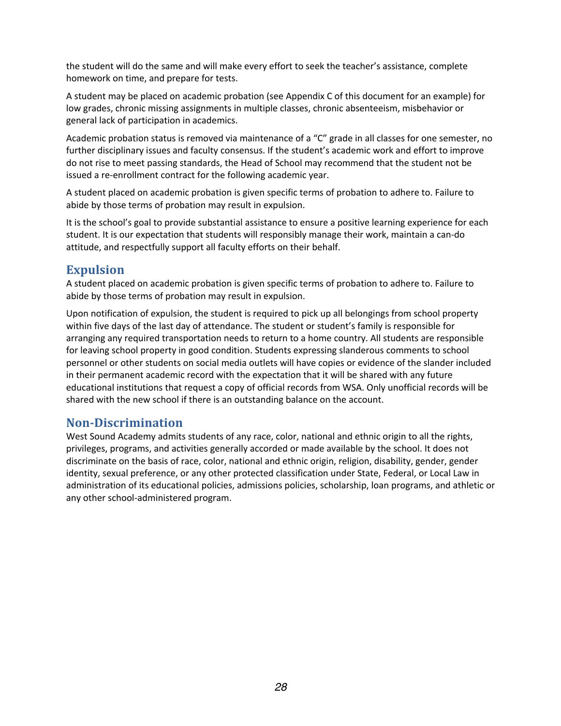the student will do the same and will make every effort to seek the teacher's assistance, complete homework on time, and prepare for tests.

A student may be placed on academic probation (see Appendix C of this document for an example) for low grades, chronic missing assignments in multiple classes, chronic absenteeism, misbehavior or general lack of participation in academics.

Academic probation status is removed via maintenance of a "C" grade in all classes for one semester, no further disciplinary issues and faculty consensus. If the student's academic work and effort to improve do not rise to meet passing standards, the Head of School may recommend that the student not be issued a re-enrollment contract for the following academic year.

A student placed on academic probation is given specific terms of probation to adhere to. Failure to abide by those terms of probation may result in expulsion.

It is the school's goal to provide substantial assistance to ensure a positive learning experience for each student. It is our expectation that students will responsibly manage their work, maintain a can-do attitude, and respectfully support all faculty efforts on their behalf.

## **Expulsion**

A student placed on academic probation is given specific terms of probation to adhere to. Failure to abide by those terms of probation may result in expulsion.

Upon notification of expulsion, the student is required to pick up all belongings from school property within five days of the last day of attendance. The student or student's family is responsible for arranging any required transportation needs to return to a home country. All students are responsible for leaving school property in good condition. Students expressing slanderous comments to school personnel or other students on social media outlets will have copies or evidence of the slander included in their permanent academic record with the expectation that it will be shared with any future educational institutions that request a copy of official records from WSA. Only unofficial records will be shared with the new school if there is an outstanding balance on the account.

## **Non-Discrimination**

West Sound Academy admits students of any race, color, national and ethnic origin to all the rights, privileges, programs, and activities generally accorded or made available by the school. It does not discriminate on the basis of race, color, national and ethnic origin, religion, disability, gender, gender identity, sexual preference, or any other protected classification under State, Federal, or Local Law in administration of its educational policies, admissions policies, scholarship, loan programs, and athletic or any other school-administered program.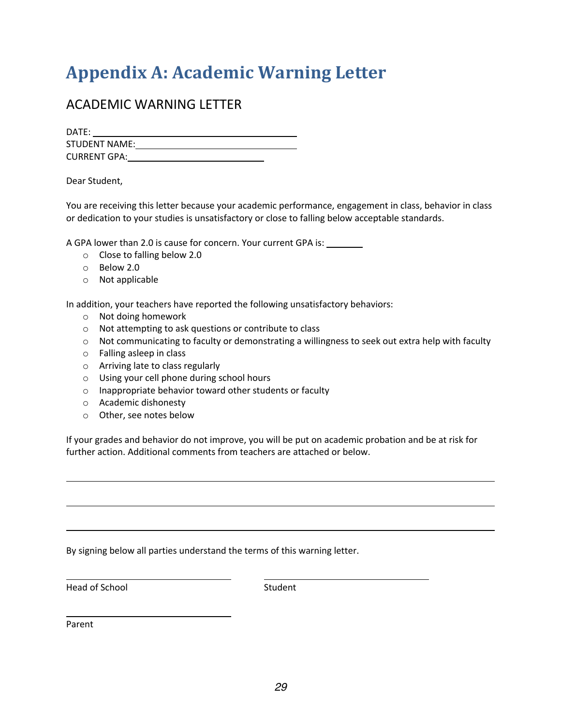## **Appendix A: Academic Warning Letter**

## ACADEMIC WARNING LETTER

| DATE:               |  |
|---------------------|--|
| STUDENT NAME:       |  |
| <b>CURRENT GPA:</b> |  |

#### Dear Student,

You are receiving this letter because your academic performance, engagement in class, behavior in class or dedication to your studies is unsatisfactory or close to falling below acceptable standards.

A GPA lower than 2.0 is cause for concern. Your current GPA is:

- o Close to falling below 2.0
- o Below 2.0
- o Not applicable

In addition, your teachers have reported the following unsatisfactory behaviors:

- o Not doing homework
- o Not attempting to ask questions or contribute to class
- $\circ$  Not communicating to faculty or demonstrating a willingness to seek out extra help with faculty
- o Falling asleep in class
- o Arriving late to class regularly
- o Using your cell phone during school hours
- o Inappropriate behavior toward other students or faculty
- o Academic dishonesty
- o Other, see notes below

If your grades and behavior do not improve, you will be put on academic probation and be at risk for further action. Additional comments from teachers are attached or below.

By signing below all parties understand the terms of this warning letter.

Head of School Student

Parent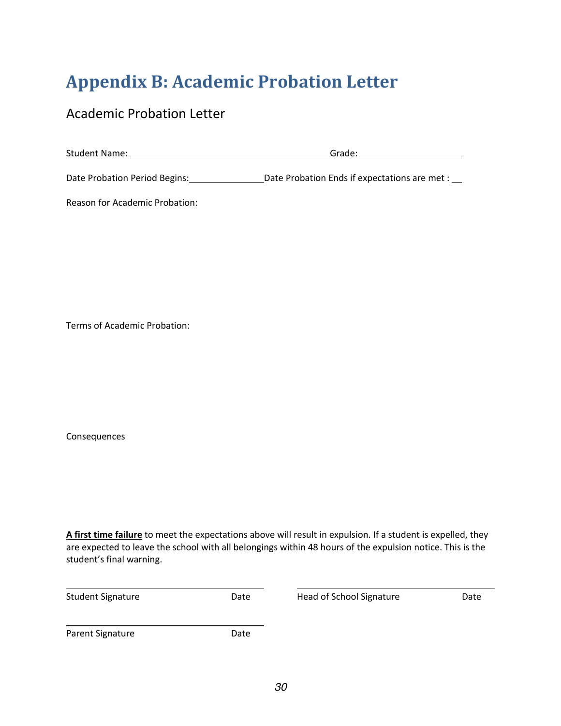## **Appendix B: Academic Probation Letter**

## Academic Probation Letter

| <b>Student Name:</b>          | Grade:                                        |  |  |
|-------------------------------|-----------------------------------------------|--|--|
| Date Probation Period Begins: | Date Probation Ends if expectations are met : |  |  |

Reason for Academic Probation:

Terms of Academic Probation:

Consequences

**A first time failure** to meet the expectations above will result in expulsion. If a student is expelled, they are expected to leave the school with all belongings within 48 hours of the expulsion notice. This is the student's final warning.

| <b>Student Signature</b> | Date | Head of School Signature | Date |
|--------------------------|------|--------------------------|------|
| Parent Signature         | Date |                          |      |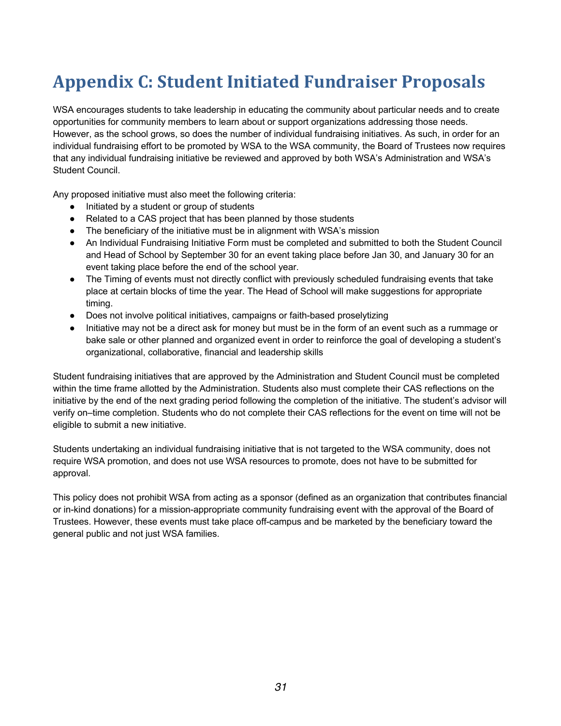## **Appendix C: Student Initiated Fundraiser Proposals**

WSA encourages students to take leadership in educating the community about particular needs and to create opportunities for community members to learn about or support organizations addressing those needs. However, as the school grows, so does the number of individual fundraising initiatives. As such, in order for an individual fundraising effort to be promoted by WSA to the WSA community, the Board of Trustees now requires that any individual fundraising initiative be reviewed and approved by both WSA's Administration and WSA's Student Council.

Any proposed initiative must also meet the following criteria:

- Initiated by a student or group of students
- Related to a CAS project that has been planned by those students
- The beneficiary of the initiative must be in alignment with WSA's mission
- An Individual Fundraising Initiative Form must be completed and submitted to both the Student Council and Head of School by September 30 for an event taking place before Jan 30, and January 30 for an event taking place before the end of the school year.
- The Timing of events must not directly conflict with previously scheduled fundraising events that take place at certain blocks of time the year. The Head of School will make suggestions for appropriate timing.
- Does not involve political initiatives, campaigns or faith-based proselytizing
- Initiative may not be a direct ask for money but must be in the form of an event such as a rummage or bake sale or other planned and organized event in order to reinforce the goal of developing a student's organizational, collaborative, financial and leadership skills

Student fundraising initiatives that are approved by the Administration and Student Council must be completed within the time frame allotted by the Administration. Students also must complete their CAS reflections on the initiative by the end of the next grading period following the completion of the initiative. The student's advisor will verify on–time completion. Students who do not complete their CAS reflections for the event on time will not be eligible to submit a new initiative.

Students undertaking an individual fundraising initiative that is not targeted to the WSA community, does not require WSA promotion, and does not use WSA resources to promote, does not have to be submitted for approval.

This policy does not prohibit WSA from acting as a sponsor (defined as an organization that contributes financial or in-kind donations) for a mission-appropriate community fundraising event with the approval of the Board of Trustees. However, these events must take place off-campus and be marketed by the beneficiary toward the general public and not just WSA families.